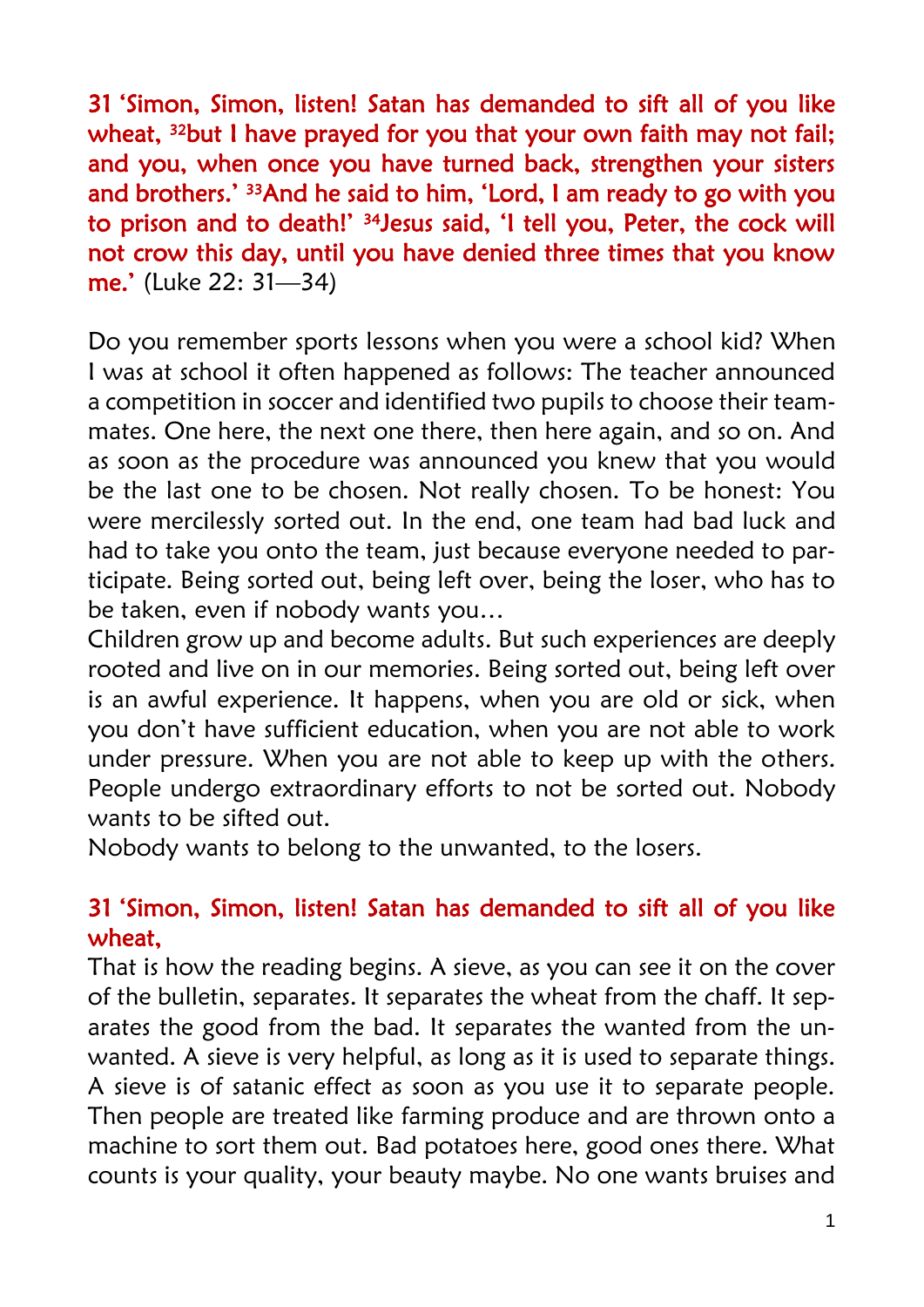31 'Simon, Simon, listen! Satan has demanded to sift all of you like wheat, <sup>32</sup>but I have prayed for you that your own faith may not fail; and you, when once you have turned back, strengthen your sisters and brothers.' <sup>33</sup>And he said to him, 'Lord, I am ready to go with you to prison and to death!' 34Jesus said, 'I tell you, Peter, the cock will not crow this day, until you have denied three times that you know me.' (Luke 22: 31—34)

Do you remember sports lessons when you were a school kid? When I was at school it often happened as follows: The teacher announced a competition in soccer and identified two pupils to choose their teammates. One here, the next one there, then here again, and so on. And as soon as the procedure was announced you knew that you would be the last one to be chosen. Not really chosen. To be honest: You were mercilessly sorted out. In the end, one team had bad luck and had to take you onto the team, just because everyone needed to participate. Being sorted out, being left over, being the loser, who has to be taken, even if nobody wants you…

Children grow up and become adults. But such experiences are deeply rooted and live on in our memories. Being sorted out, being left over is an awful experience. It happens, when you are old or sick, when you don't have sufficient education, when you are not able to work under pressure. When you are not able to keep up with the others. People undergo extraordinary efforts to not be sorted out. Nobody wants to be sifted out.

Nobody wants to belong to the unwanted, to the losers.

## 31 'Simon, Simon, listen! Satan has demanded to sift all of you like wheat,

That is how the reading begins. A sieve, as you can see it on the cover of the bulletin, separates. It separates the wheat from the chaff. It separates the good from the bad. It separates the wanted from the unwanted. A sieve is very helpful, as long as it is used to separate things. A sieve is of satanic effect as soon as you use it to separate people. Then people are treated like farming produce and are thrown onto a machine to sort them out. Bad potatoes here, good ones there. What counts is your quality, your beauty maybe. No one wants bruises and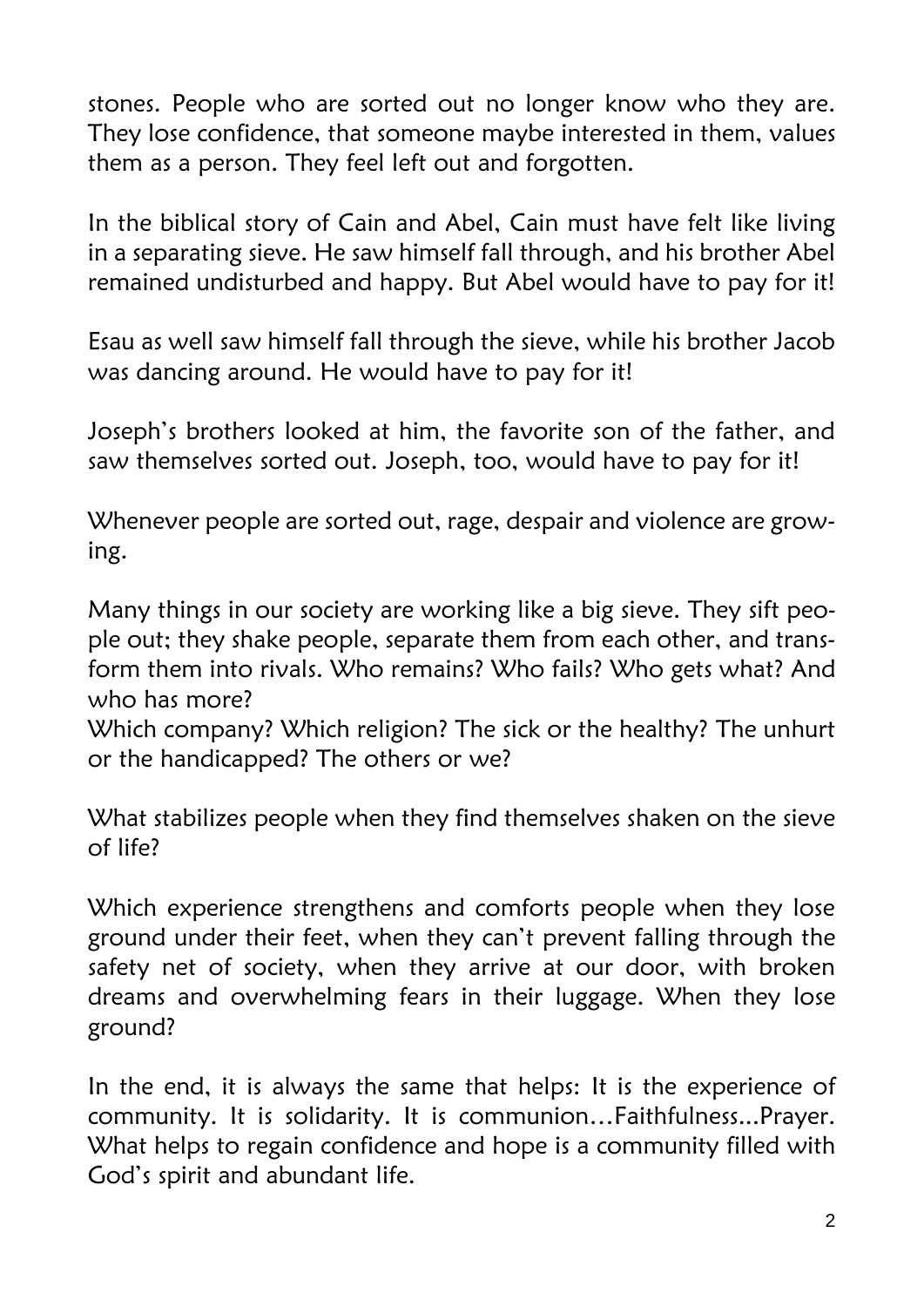stones. People who are sorted out no longer know who they are. They lose confidence, that someone maybe interested in them, values them as a person. They feel left out and forgotten.

In the biblical story of Cain and Abel, Cain must have felt like living in a separating sieve. He saw himself fall through, and his brother Abel remained undisturbed and happy. But Abel would have to pay for it!

Esau as well saw himself fall through the sieve, while his brother Jacob was dancing around. He would have to pay for it!

Joseph's brothers looked at him, the favorite son of the father, and saw themselves sorted out. Joseph, too, would have to pay for it!

Whenever people are sorted out, rage, despair and violence are growing.

Many things in our society are working like a big sieve. They sift people out; they shake people, separate them from each other, and transform them into rivals. Who remains? Who fails? Who gets what? And who has more?

Which company? Which religion? The sick or the healthy? The unhurt or the handicapped? The others or we?

What stabilizes people when they find themselves shaken on the sieve of life?

Which experience strengthens and comforts people when they lose ground under their feet, when they can't prevent falling through the safety net of society, when they arrive at our door, with broken dreams and overwhelming fears in their luggage. When they lose ground?

In the end, it is always the same that helps: It is the experience of community. It is solidarity. It is communion…Faithfulness...Prayer. What helps to regain confidence and hope is a community filled with God's spirit and abundant life.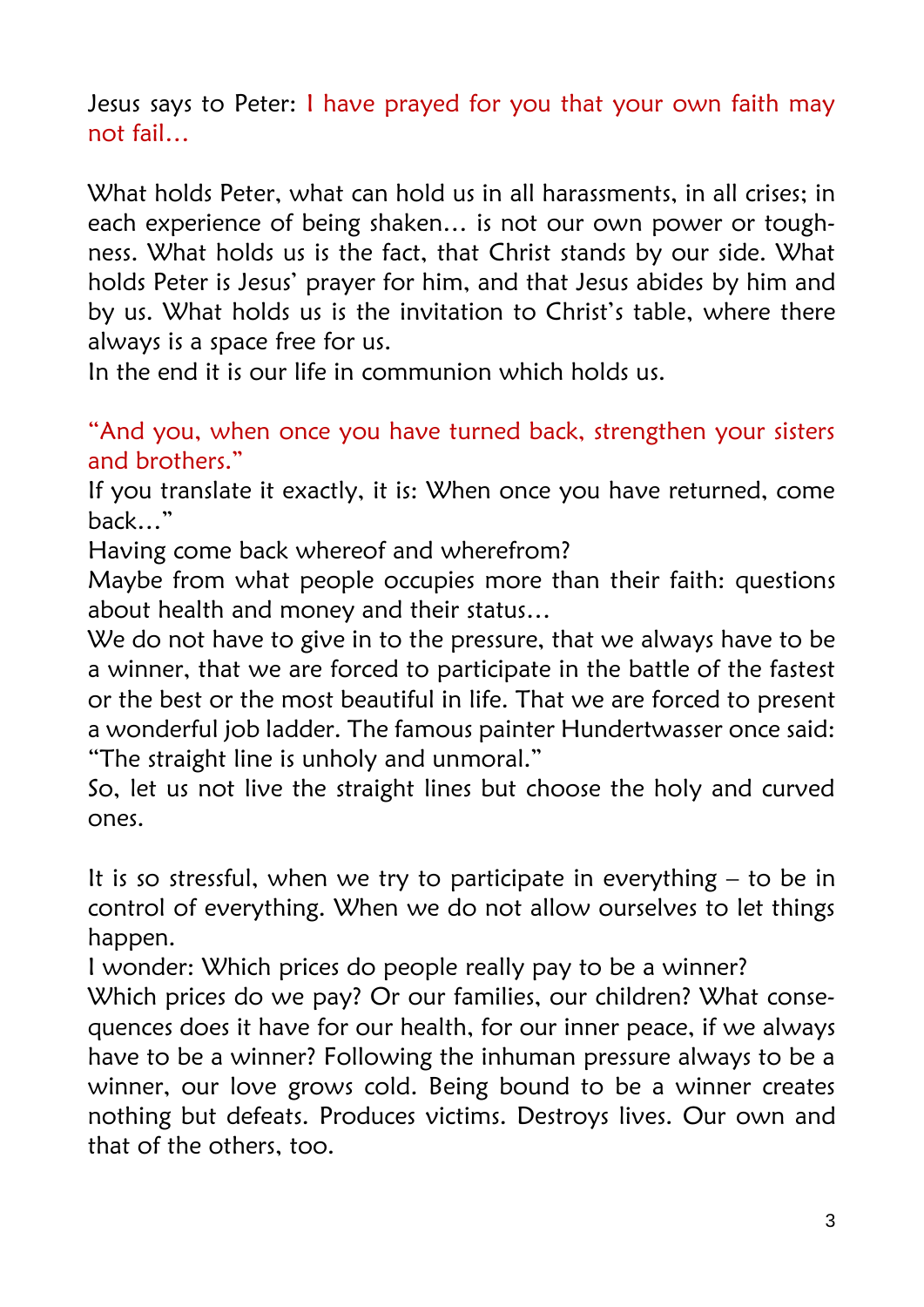Jesus says to Peter: I have prayed for you that your own faith may not fail…

What holds Peter, what can hold us in all harassments, in all crises; in each experience of being shaken… is not our own power or toughness. What holds us is the fact, that Christ stands by our side. What holds Peter is Jesus' prayer for him, and that Jesus abides by him and by us. What holds us is the invitation to Christ's table, where there always is a space free for us.

In the end it is our life in communion which holds us.

"And you, when once you have turned back, strengthen your sisters and brothers."

If you translate it exactly, it is: When once you have returned, come back…"

Having come back whereof and wherefrom?

Maybe from what people occupies more than their faith: questions about health and money and their status…

We do not have to give in to the pressure, that we always have to be a winner, that we are forced to participate in the battle of the fastest or the best or the most beautiful in life. That we are forced to present a wonderful job ladder. The famous painter Hundertwasser once said: "The straight line is unholy and unmoral."

So, let us not live the straight lines but choose the holy and curved ones.

It is so stressful, when we try to participate in everything  $-$  to be in control of everything. When we do not allow ourselves to let things happen.

I wonder: Which prices do people really pay to be a winner?

Which prices do we pay? Or our families, our children? What consequences does it have for our health, for our inner peace, if we always have to be a winner? Following the inhuman pressure always to be a winner, our love grows cold. Being bound to be a winner creates nothing but defeats. Produces victims. Destroys lives. Our own and that of the others, too.